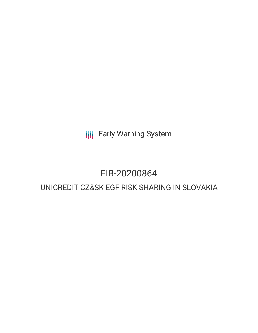**III** Early Warning System

## EIB-20200864

### UNICREDIT CZ&SK EGF RISK SHARING IN SLOVAKIA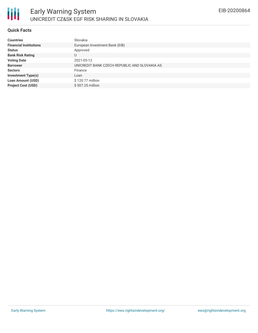

### **Quick Facts**

| <b>Countries</b>              | Slovakia                                      |
|-------------------------------|-----------------------------------------------|
| <b>Financial Institutions</b> | European Investment Bank (EIB)                |
| <b>Status</b>                 | Approved                                      |
| <b>Bank Risk Rating</b>       | U                                             |
| <b>Voting Date</b>            | 2021-05-12                                    |
| <b>Borrower</b>               | UNICREDIT BANK CZECH REPUBLIC AND SLOVAKIA AS |
| <b>Sectors</b>                | Finance                                       |
| <b>Investment Type(s)</b>     | Loan                                          |
| <b>Loan Amount (USD)</b>      | \$120.77 million                              |
| <b>Project Cost (USD)</b>     | \$507.25 million                              |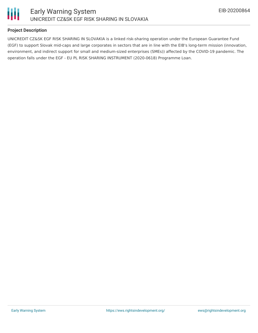

### **Project Description**

UNICREDIT CZ&SK EGF RISK SHARING IN SLOVAKIA is a linked risk-sharing operation under the European Guarantee Fund (EGF) to support Slovak mid-caps and large corporates in sectors that are in line with the EIB's long-term mission (innovation, environment, and indirect support for small and medium-sized enterprises (SMEs)) affected by the COVID-19 pandemic. The operation falls under the EGF - EU PL RISK SHARING INSTRUMENT (2020-0618) Programme Loan.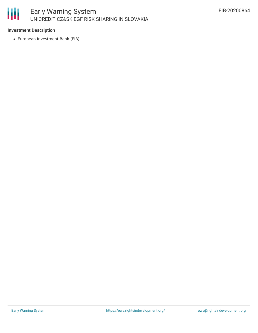# 冊

### **Investment Description**

European Investment Bank (EIB)